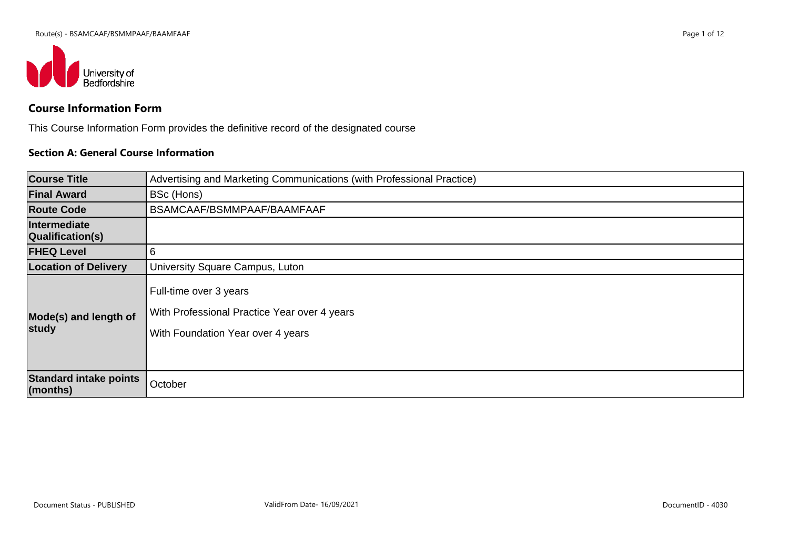

# **Course Information Form**

This Course Information Form provides the definitive record of the designated course

#### **Section A: General Course Information**

| <b>Course Title</b>                           | Advertising and Marketing Communications (with Professional Practice)                                       |
|-----------------------------------------------|-------------------------------------------------------------------------------------------------------------|
| <b>Final Award</b>                            | BSc (Hons)                                                                                                  |
| <b>Route Code</b>                             | BSAMCAAF/BSMMPAAF/BAAMFAAF                                                                                  |
| Intermediate<br>Qualification(s)              |                                                                                                             |
| <b>FHEQ Level</b>                             | 6                                                                                                           |
| <b>Location of Delivery</b>                   | University Square Campus, Luton                                                                             |
| Mode(s) and length of<br>study                | Full-time over 3 years<br>With Professional Practice Year over 4 years<br>With Foundation Year over 4 years |
| <b>Standard intake points</b><br>$ $ (months) | October                                                                                                     |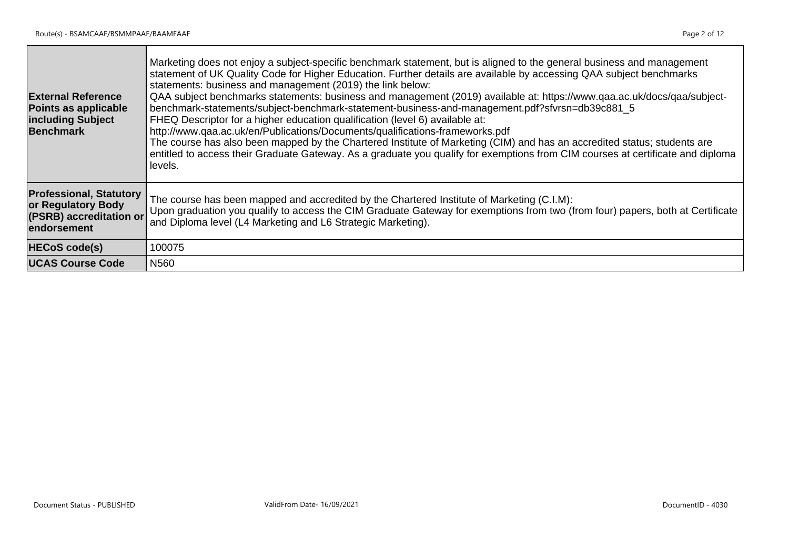| <b>External Reference</b><br>Points as applicable<br><b>including Subject</b><br>Benchmark     | Marketing does not enjoy a subject-specific benchmark statement, but is aligned to the general business and management<br>statement of UK Quality Code for Higher Education. Further details are available by accessing QAA subject benchmarks<br>statements: business and management (2019) the link below:<br>QAA subiect benchmarks statements: business and management (2019) available at: https://www.qaa.ac.uk/docs/qaa/subject-<br>benchmark-statements/subject-benchmark-statement-business-and-management.pdf?sfvrsn=db39c881_5<br>FHEQ Descriptor for a higher education qualification (level 6) available at:<br>http://www.qaa.ac.uk/en/Publications/Documents/qualifications-frameworks.pdf<br>The course has also been mapped by the Chartered Institute of Marketing (CIM) and has an accredited status; students are<br>entitled to access their Graduate Gateway. As a graduate you qualify for exemptions from CIM courses at certificate and diploma<br>levels. |
|------------------------------------------------------------------------------------------------|-------------------------------------------------------------------------------------------------------------------------------------------------------------------------------------------------------------------------------------------------------------------------------------------------------------------------------------------------------------------------------------------------------------------------------------------------------------------------------------------------------------------------------------------------------------------------------------------------------------------------------------------------------------------------------------------------------------------------------------------------------------------------------------------------------------------------------------------------------------------------------------------------------------------------------------------------------------------------------------|
| <b>Professional, Statutory</b><br>or Regulatory Body<br>(PSRB) accreditation or<br>endorsement | The course has been mapped and accredited by the Chartered Institute of Marketing (C.I.M):<br>Upon graduation you qualify to access the CIM Graduate Gateway for exemptions from two (from four) papers, both at Certificate<br>and Diploma level (L4 Marketing and L6 Strategic Marketing).                                                                                                                                                                                                                                                                                                                                                                                                                                                                                                                                                                                                                                                                                        |
| <b>HECoS code(s)</b>                                                                           | 100075                                                                                                                                                                                                                                                                                                                                                                                                                                                                                                                                                                                                                                                                                                                                                                                                                                                                                                                                                                              |
| <b>UCAS Course Code</b>                                                                        | N560                                                                                                                                                                                                                                                                                                                                                                                                                                                                                                                                                                                                                                                                                                                                                                                                                                                                                                                                                                                |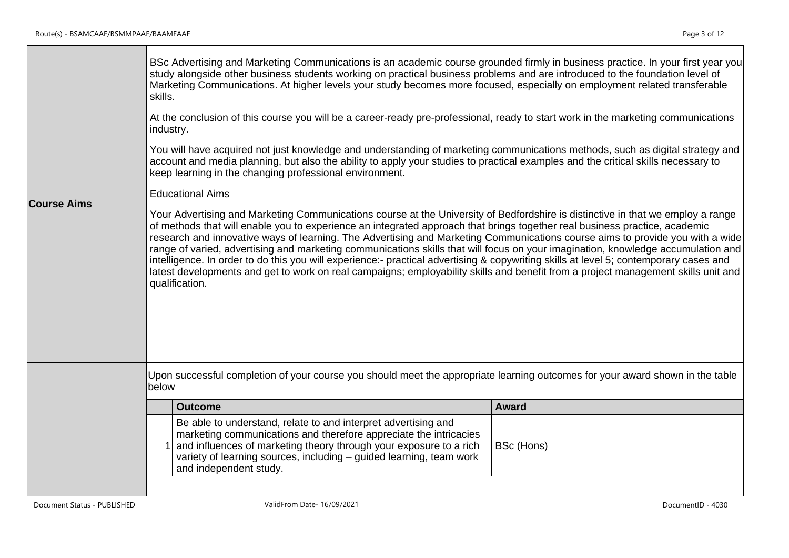| <b>Course Aims</b> | skills.<br>industry. | Marketing Communications. At higher levels your study becomes more focused, especially on employment related transferable<br>At the conclusion of this course you will be a career-ready pre-professional, ready to start work in the marketing communications<br>You will have acquired not just knowledge and understanding of marketing communications methods, such as digital strategy and<br>account and media planning, but also the ability to apply your studies to practical examples and the critical skills necessary to<br>keep learning in the changing professional environment.<br><b>Educational Aims</b><br>Your Advertising and Marketing Communications course at the University of Bedfordshire is distinctive in that we employ a range<br>of methods that will enable you to experience an integrated approach that brings together real business practice, academic<br>research and innovative ways of learning. The Advertising and Marketing Communications course aims to provide you with a wide<br>range of varied, advertising and marketing communications skills that will focus on your imagination, knowledge accumulation and<br>intelligence. In order to do this you will experience:- practical advertising & copywriting skills at level 5; contemporary cases and<br>latest developments and get to work on real campaigns; employability skills and benefit from a project management skills unit and<br>qualification.<br>Upon successful completion of your course you should meet the appropriate learning outcomes for your award shown in the table |              |
|--------------------|----------------------|---------------------------------------------------------------------------------------------------------------------------------------------------------------------------------------------------------------------------------------------------------------------------------------------------------------------------------------------------------------------------------------------------------------------------------------------------------------------------------------------------------------------------------------------------------------------------------------------------------------------------------------------------------------------------------------------------------------------------------------------------------------------------------------------------------------------------------------------------------------------------------------------------------------------------------------------------------------------------------------------------------------------------------------------------------------------------------------------------------------------------------------------------------------------------------------------------------------------------------------------------------------------------------------------------------------------------------------------------------------------------------------------------------------------------------------------------------------------------------------------------------------------------------------------------------------------------------------------------|--------------|
|                    | below                |                                                                                                                                                                                                                                                                                                                                                                                                                                                                                                                                                                                                                                                                                                                                                                                                                                                                                                                                                                                                                                                                                                                                                                                                                                                                                                                                                                                                                                                                                                                                                                                                   |              |
|                    |                      | <b>Outcome</b>                                                                                                                                                                                                                                                                                                                                                                                                                                                                                                                                                                                                                                                                                                                                                                                                                                                                                                                                                                                                                                                                                                                                                                                                                                                                                                                                                                                                                                                                                                                                                                                    | <b>Award</b> |
|                    |                      | Be able to understand, relate to and interpret advertising and<br>marketing communications and therefore appreciate the intricacies<br>and influences of marketing theory through your exposure to a rich<br>variety of learning sources, including - guided learning, team work<br>and independent study.                                                                                                                                                                                                                                                                                                                                                                                                                                                                                                                                                                                                                                                                                                                                                                                                                                                                                                                                                                                                                                                                                                                                                                                                                                                                                        | BSc (Hons)   |
|                    |                      |                                                                                                                                                                                                                                                                                                                                                                                                                                                                                                                                                                                                                                                                                                                                                                                                                                                                                                                                                                                                                                                                                                                                                                                                                                                                                                                                                                                                                                                                                                                                                                                                   |              |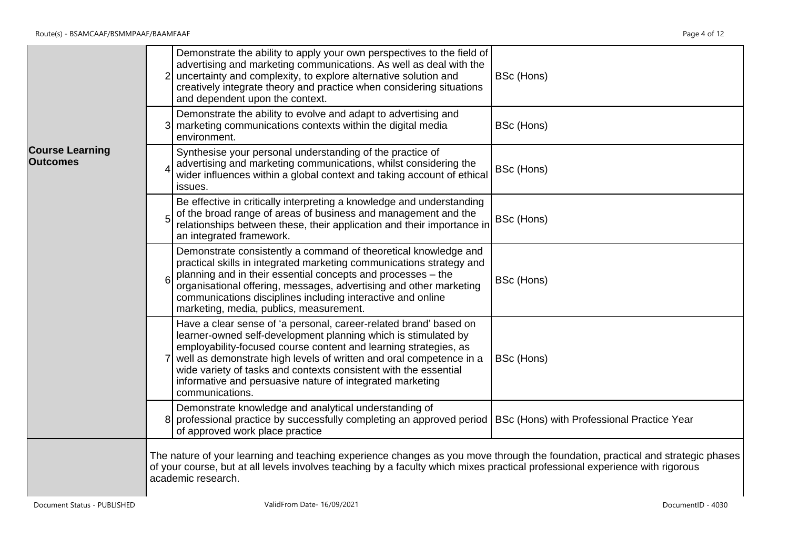|                                           | Demonstrate the ability to apply your own perspectives to the field of<br>advertising and marketing communications. As well as deal with the<br>uncertainty and complexity, to explore alternative solution and<br>$\overline{2}$<br>BSc (Hons)<br>creatively integrate theory and practice when considering situations<br>and dependent upon the context.                                                                                                         |  |
|-------------------------------------------|--------------------------------------------------------------------------------------------------------------------------------------------------------------------------------------------------------------------------------------------------------------------------------------------------------------------------------------------------------------------------------------------------------------------------------------------------------------------|--|
|                                           | Demonstrate the ability to evolve and adapt to advertising and<br>BSc (Hons)<br>3 marketing communications contexts within the digital media<br>environment.                                                                                                                                                                                                                                                                                                       |  |
| <b>Course Learning</b><br><b>Outcomes</b> | Synthesise your personal understanding of the practice of<br>advertising and marketing communications, whilst considering the<br>BSc (Hons)<br>wider influences within a global context and taking account of ethical<br>issues.                                                                                                                                                                                                                                   |  |
|                                           | Be effective in critically interpreting a knowledge and understanding<br>of the broad range of areas of business and management and the<br>5<br>BSc (Hons)<br>relationships between these, their application and their importance in<br>an integrated framework.                                                                                                                                                                                                   |  |
|                                           | Demonstrate consistently a command of theoretical knowledge and<br>practical skills in integrated marketing communications strategy and<br>planning and in their essential concepts and processes - the<br>$\mathbf{6}$<br>BSc (Hons)<br>organisational offering, messages, advertising and other marketing<br>communications disciplines including interactive and online<br>marketing, media, publics, measurement.                                              |  |
|                                           | Have a clear sense of 'a personal, career-related brand' based on<br>learner-owned self-development planning which is stimulated by<br>employability-focused course content and learning strategies, as<br>well as demonstrate high levels of written and oral competence in a<br>$\overline{7}$<br>BSc (Hons)<br>wide variety of tasks and contexts consistent with the essential<br>informative and persuasive nature of integrated marketing<br>communications. |  |
|                                           | Demonstrate knowledge and analytical understanding of<br>8 professional practice by successfully completing an approved period   BSc (Hons) with Professional Practice Year<br>of approved work place practice                                                                                                                                                                                                                                                     |  |
|                                           | The nature of your learning and teaching experience changes as you move through the foundation, practical and strategic phases<br>of your course, but at all levels involves teaching by a faculty which mixes practical professional experience with rigorous<br>academic research.                                                                                                                                                                               |  |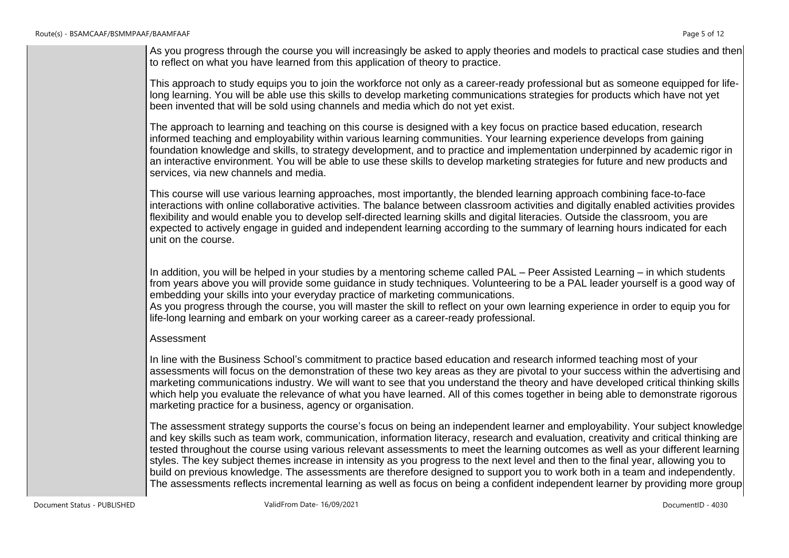This approach to study equips you to join the workforce not only as a career-ready professional but as someone equipped for lifelong learning. You will be able use this skills to develop marketing communications strategies for products which have not yet been invented that will be sold using channels and media which do not yet exist.

The approach to learning and teaching on this course is designed with a key focus on practice based education, research informed teaching and employability within various learning communities. Your learning experience develops from gaining foundation knowledge and skills, to strategy development, and to practice and implementation underpinned by academic rigor in an interactive environment. You will be able to use these skills to develop marketing strategies for future and new products and services, via new channels and media.

This course will use various learning approaches, most importantly, the blended learning approach combining face-to-face interactions with online collaborative activities. The balance between classroom activities and digitally enabled activities provides flexibility and would enable you to develop self-directed learning skills and digital literacies. Outside the classroom, you are expected to actively engage in guided and independent learning according to the summary of learning hours indicated for each unit on the course.

In addition, you will be helped in your studies by a mentoring scheme called PAL – Peer Assisted Learning – in which students from years above you will provide some guidance in study techniques. Volunteering to be a PAL leader yourself is a good way of embedding your skills into your everyday practice of marketing communications.

As you progress through the course, you will master the skill to reflect on your own learning experience in order to equip you for life-long learning and embark on your working career as a career-ready professional.

#### Assessment

In line with the Business School's commitment to practice based education and research informed teaching most of your assessments will focus on the demonstration of these two key areas as they are pivotal to your success within the advertising and marketing communications industry. We will want to see that you understand the theory and have developed critical thinking skills which help you evaluate the relevance of what you have learned. All of this comes together in being able to demonstrate rigorous marketing practice for a business, agency or organisation.

The assessment strategy supports the course's focus on being an independent learner and employability. Your subject knowledge and key skills such as team work, communication, information literacy, research and evaluation, creativity and critical thinking are tested throughout the course using various relevant assessments to meet the learning outcomes as well as your different learning styles. The key subject themes increase in intensity as you progress to the next level and then to the final year, allowing you to build on previous knowledge. The assessments are therefore designed to support you to work both in a team and independently. The assessments reflects incremental learning as well as focus on being a confident independent learner by providing more group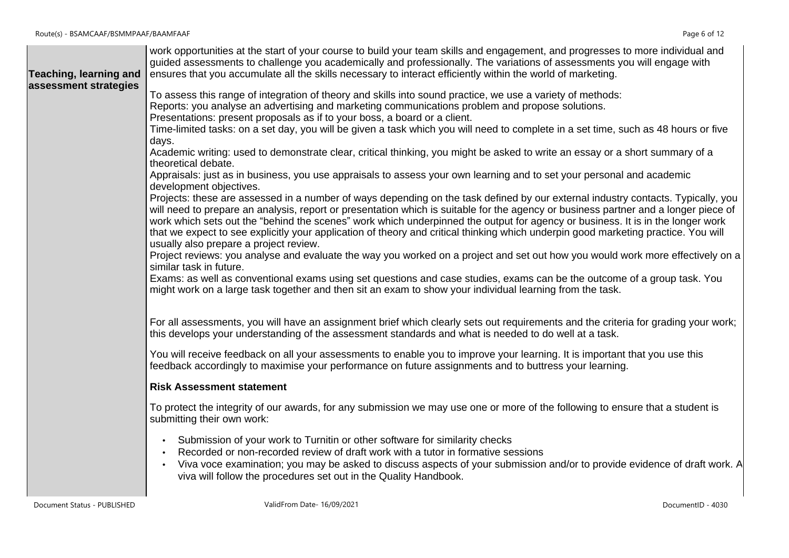| Teaching, learning and | work opportunities at the start of your course to build your team skills and engagement, and progresses to more individual and<br>guided assessments to challenge you academically and professionally. The variations of assessments you will engage with<br>ensures that you accumulate all the skills necessary to interact efficiently within the world of marketing.                                                                                                                                                                                                                                                                                                                                                                                                                                                                                                                                                                                                                                                                                                                                                                                                                                                                                                                                                                                                                                                                                                            |
|------------------------|-------------------------------------------------------------------------------------------------------------------------------------------------------------------------------------------------------------------------------------------------------------------------------------------------------------------------------------------------------------------------------------------------------------------------------------------------------------------------------------------------------------------------------------------------------------------------------------------------------------------------------------------------------------------------------------------------------------------------------------------------------------------------------------------------------------------------------------------------------------------------------------------------------------------------------------------------------------------------------------------------------------------------------------------------------------------------------------------------------------------------------------------------------------------------------------------------------------------------------------------------------------------------------------------------------------------------------------------------------------------------------------------------------------------------------------------------------------------------------------|
| assessment strategies  | To assess this range of integration of theory and skills into sound practice, we use a variety of methods:<br>Reports: you analyse an advertising and marketing communications problem and propose solutions.<br>Presentations: present proposals as if to your boss, a board or a client.<br>Time-limited tasks: on a set day, you will be given a task which you will need to complete in a set time, such as 48 hours or five<br>days.<br>Academic writing: used to demonstrate clear, critical thinking, you might be asked to write an essay or a short summary of a<br>theoretical debate.<br>Appraisals: just as in business, you use appraisals to assess your own learning and to set your personal and academic<br>development objectives.<br>Projects: these are assessed in a number of ways depending on the task defined by our external industry contacts. Typically, you<br>will need to prepare an analysis, report or presentation which is suitable for the agency or business partner and a longer piece of<br>work which sets out the "behind the scenes" work which underpinned the output for agency or business. It is in the longer work<br>that we expect to see explicitly your application of theory and critical thinking which underpin good marketing practice. You will<br>usually also prepare a project review.<br>Project reviews: you analyse and evaluate the way you worked on a project and set out how you would work more effectively on a |
|                        | similar task in future.<br>Exams: as well as conventional exams using set questions and case studies, exams can be the outcome of a group task. You<br>might work on a large task together and then sit an exam to show your individual learning from the task.                                                                                                                                                                                                                                                                                                                                                                                                                                                                                                                                                                                                                                                                                                                                                                                                                                                                                                                                                                                                                                                                                                                                                                                                                     |
|                        | For all assessments, you will have an assignment brief which clearly sets out requirements and the criteria for grading your work;<br>this develops your understanding of the assessment standards and what is needed to do well at a task.                                                                                                                                                                                                                                                                                                                                                                                                                                                                                                                                                                                                                                                                                                                                                                                                                                                                                                                                                                                                                                                                                                                                                                                                                                         |
|                        | You will receive feedback on all your assessments to enable you to improve your learning. It is important that you use this<br>feedback accordingly to maximise your performance on future assignments and to buttress your learning.                                                                                                                                                                                                                                                                                                                                                                                                                                                                                                                                                                                                                                                                                                                                                                                                                                                                                                                                                                                                                                                                                                                                                                                                                                               |
|                        | <b>Risk Assessment statement</b>                                                                                                                                                                                                                                                                                                                                                                                                                                                                                                                                                                                                                                                                                                                                                                                                                                                                                                                                                                                                                                                                                                                                                                                                                                                                                                                                                                                                                                                    |
|                        | To protect the integrity of our awards, for any submission we may use one or more of the following to ensure that a student is<br>submitting their own work:                                                                                                                                                                                                                                                                                                                                                                                                                                                                                                                                                                                                                                                                                                                                                                                                                                                                                                                                                                                                                                                                                                                                                                                                                                                                                                                        |
|                        | Submission of your work to Turnitin or other software for similarity checks<br>$\bullet$<br>Recorded or non-recorded review of draft work with a tutor in formative sessions<br>Viva voce examination; you may be asked to discuss aspects of your submission and/or to provide evidence of draft work. A<br>$\bullet$<br>viva will follow the procedures set out in the Quality Handbook.                                                                                                                                                                                                                                                                                                                                                                                                                                                                                                                                                                                                                                                                                                                                                                                                                                                                                                                                                                                                                                                                                          |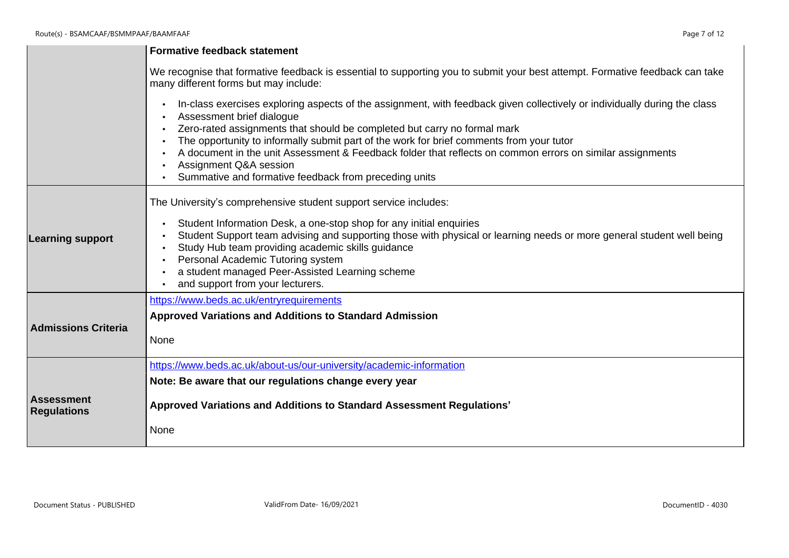|                                         | <b>Formative feedback statement</b>                                                                                                                                                                                                                                                                                                                                                                                                                                                                                            |
|-----------------------------------------|--------------------------------------------------------------------------------------------------------------------------------------------------------------------------------------------------------------------------------------------------------------------------------------------------------------------------------------------------------------------------------------------------------------------------------------------------------------------------------------------------------------------------------|
|                                         | We recognise that formative feedback is essential to supporting you to submit your best attempt. Formative feedback can take<br>many different forms but may include:                                                                                                                                                                                                                                                                                                                                                          |
|                                         | In-class exercises exploring aspects of the assignment, with feedback given collectively or individually during the class<br>Assessment brief dialogue<br>Zero-rated assignments that should be completed but carry no formal mark<br>The opportunity to informally submit part of the work for brief comments from your tutor<br>A document in the unit Assessment & Feedback folder that reflects on common errors on similar assignments<br>Assignment Q&A session<br>Summative and formative feedback from preceding units |
| <b>Learning support</b>                 | The University's comprehensive student support service includes:<br>Student Information Desk, a one-stop shop for any initial enquiries<br>Student Support team advising and supporting those with physical or learning needs or more general student well being<br>Study Hub team providing academic skills guidance<br>Personal Academic Tutoring system<br>a student managed Peer-Assisted Learning scheme<br>and support from your lecturers.                                                                              |
| <b>Admissions Criteria</b>              | https://www.beds.ac.uk/entryrequirements<br><b>Approved Variations and Additions to Standard Admission</b><br>None                                                                                                                                                                                                                                                                                                                                                                                                             |
| <b>Assessment</b><br><b>Regulations</b> | https://www.beds.ac.uk/about-us/our-university/academic-information<br>Note: Be aware that our regulations change every year<br>Approved Variations and Additions to Standard Assessment Regulations'                                                                                                                                                                                                                                                                                                                          |
|                                         | None                                                                                                                                                                                                                                                                                                                                                                                                                                                                                                                           |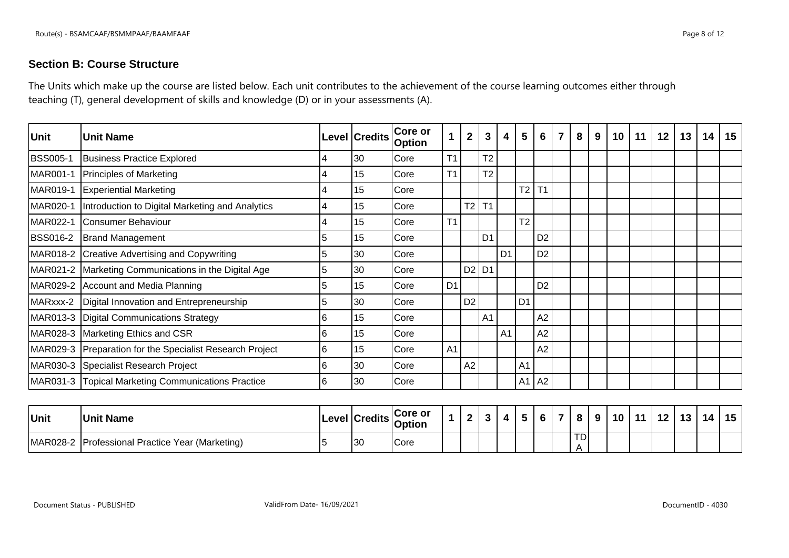## **Section B: Course Structure**

The Units which make up the course are listed below. Each unit contributes to the achievement of the course learning outcomes either through teaching (T), general development of skills and knowledge (D) or in your assessments (A).

| Unit            | lUnit Name                                               |    | Level Credits | <b>Core or</b><br><b>Option</b> |                | $\overline{2}$ | 3              | 4              | 5                   | 6               | $\overline{\mathbf{z}}$ | 8 | 9 | 10 | 11 | 12 | 13 | 14 | 15 |
|-----------------|----------------------------------------------------------|----|---------------|---------------------------------|----------------|----------------|----------------|----------------|---------------------|-----------------|-------------------------|---|---|----|----|----|----|----|----|
| <b>BSS005-1</b> | Business Practice Explored                               |    | 30            | Core                            | T <sub>1</sub> |                | T <sub>2</sub> |                |                     |                 |                         |   |   |    |    |    |    |    |    |
| MAR001-1        | <b>Principles of Marketing</b>                           |    | 15            | Core                            | T <sub>1</sub> |                | T <sub>2</sub> |                |                     |                 |                         |   |   |    |    |    |    |    |    |
| MAR019-1        | <b>Experiential Marketing</b>                            |    | 15            | Core                            |                |                |                |                | $T2$ T <sub>1</sub> |                 |                         |   |   |    |    |    |    |    |    |
| MAR020-1        | Introduction to Digital Marketing and Analytics          |    | 15            | <b>ICore</b>                    |                | T <sub>2</sub> | T1             |                |                     |                 |                         |   |   |    |    |    |    |    |    |
| MAR022-1        | Consumer Behaviour                                       |    | 15            | Core                            | T1             |                |                |                | T <sub>2</sub>      |                 |                         |   |   |    |    |    |    |    |    |
| <b>BSS016-2</b> | <b>Brand Management</b>                                  | 5  | 15            | Core                            |                |                | D <sub>1</sub> |                |                     | D <sub>2</sub>  |                         |   |   |    |    |    |    |    |    |
|                 | MAR018-2 Creative Advertising and Copywriting            |    | 30            | Core                            |                |                |                | D <sub>1</sub> |                     | D <sub>2</sub>  |                         |   |   |    |    |    |    |    |    |
|                 | MAR021-2 Marketing Communications in the Digital Age     | 5  | 30            | Core                            |                | D2             | D <sub>1</sub> |                |                     |                 |                         |   |   |    |    |    |    |    |    |
|                 | MAR029-2 Account and Media Planning                      |    | 15            | Core                            | D <sub>1</sub> |                |                |                |                     | D <sub>2</sub>  |                         |   |   |    |    |    |    |    |    |
|                 | MARxxx-2   Digital Innovation and Entrepreneurship       | 5  | 30            | Core                            |                | D <sub>2</sub> |                |                | D <sub>1</sub>      |                 |                         |   |   |    |    |    |    |    |    |
|                 | MAR013-3   Digital Communications Strategy               | 16 | 15            | Core                            |                |                | A <sub>1</sub> |                |                     | A2              |                         |   |   |    |    |    |    |    |    |
|                 | MAR028-3 Marketing Ethics and CSR                        | I6 | 15            | Core                            |                |                |                | A <sub>1</sub> |                     | A2              |                         |   |   |    |    |    |    |    |    |
|                 | MAR029-3 Preparation for the Specialist Research Project | 16 | 15            | Core                            | A <sub>1</sub> |                |                |                |                     | A2              |                         |   |   |    |    |    |    |    |    |
|                 | MAR030-3 Specialist Research Project                     | 16 | 30            | Core                            |                | A2             |                |                | A <sub>1</sub>      |                 |                         |   |   |    |    |    |    |    |    |
|                 | MAR031-3 Topical Marketing Communications Practice       | 16 | 30            | Core                            |                |                |                |                | A <sub>1</sub>      | $\overline{A2}$ |                         |   |   |    |    |    |    |    |    |

| <b>Unit</b> | <b>Unit Name</b>                       |    | Level Credits Core or | ົ | $\cdot$ | 4 | - | $\ddot{\phantom{1}}$ | $\bullet$       | 9 | 10 <sup>1</sup> | $-11$ | 12 | . 42<br>נ ו | 14 | $15 \vert$ |
|-------------|----------------------------------------|----|-----------------------|---|---------|---|---|----------------------|-----------------|---|-----------------|-------|----|-------------|----|------------|
| MAR028-2    | Professional Practice Year (Marketing) | 30 | <b>Core</b>           |   |         |   |   |                      | TD <sub>1</sub> |   |                 |       |    |             |    |            |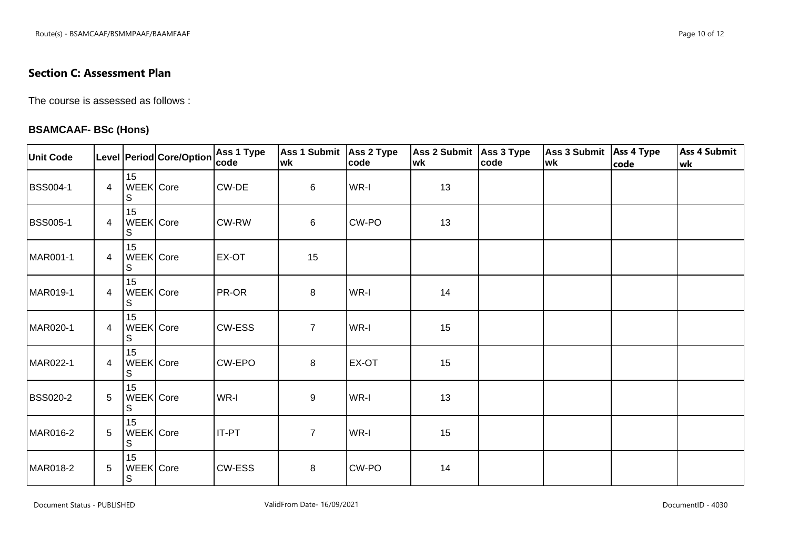## **Section C: Assessment Plan**

The course is assessed as follows :

#### **BSAMCAAF- BSc (Hons)**

| <b>Unit Code</b> |   |                                | Level Period Core/Option | Ass 1 Type<br>code | Ass 1 Submit   Ass 2 Type<br>wk | code  | Ass 2 Submit Ass 3 Type<br>wk | code | Ass 3 Submit   Ass 4 Type<br>wk | code | <b>Ass 4 Submit</b><br>wk |
|------------------|---|--------------------------------|--------------------------|--------------------|---------------------------------|-------|-------------------------------|------|---------------------------------|------|---------------------------|
| <b>BSS004-1</b>  | 4 | 15<br>WEEK Core<br>S           |                          | CW-DE              | 6                               | WR-I  | 13                            |      |                                 |      |                           |
| <b>BSS005-1</b>  | 4 | 15<br>WEEK Core<br>S           |                          | CW-RW              | 6                               | CW-PO | 13                            |      |                                 |      |                           |
| MAR001-1         | 4 | 15<br>WEEK Core<br>S           |                          | EX-OT              | 15                              |       |                               |      |                                 |      |                           |
| MAR019-1         | 4 | 15<br>WEEK Core<br>$\mathsf S$ |                          | PR-OR              | 8                               | WR-I  | 14                            |      |                                 |      |                           |
| MAR020-1         | 4 | 15<br>WEEK Core<br>S           |                          | CW-ESS             | $\overline{7}$                  | WR-I  | 15                            |      |                                 |      |                           |
| MAR022-1         | 4 | 15<br>WEEK Core<br>S           |                          | CW-EPO             | 8                               | EX-OT | 15                            |      |                                 |      |                           |
| <b>BSS020-2</b>  | 5 | 15<br>WEEK Core<br>S           |                          | WR-I               | 9                               | WR-I  | 13                            |      |                                 |      |                           |
| MAR016-2         | 5 | 15<br>WEEK Core<br>$\mathbb S$ |                          | <b>IT-PT</b>       | $\overline{7}$                  | WR-I  | 15                            |      |                                 |      |                           |
| MAR018-2         | 5 | 15<br>WEEK Core<br>S           |                          | CW-ESS             | 8                               | CW-PO | 14                            |      |                                 |      |                           |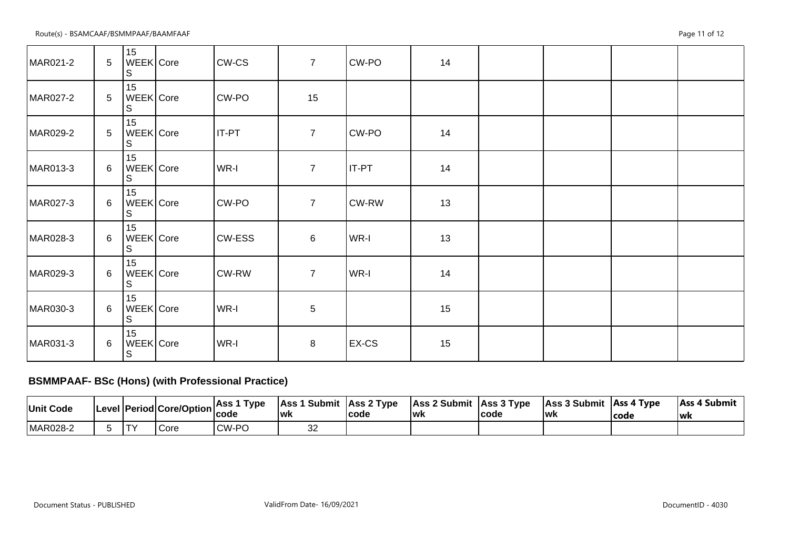Route(s) - BSAMCAAF/BSMMPAAF/BAAMFAAF Page 11 of 12

| MAR021-2 | $5\phantom{.0}$ | 15<br>WEEK Core<br>S           | CW-CS         | $\overline{7}$ | CW-PO        | 14 |  |  |
|----------|-----------------|--------------------------------|---------------|----------------|--------------|----|--|--|
| MAR027-2 | 5               | 15<br>WEEK Core<br>S           | CW-PO         | 15             |              |    |  |  |
| MAR029-2 | 5               | 15<br>WEEK Core<br>S           | <b>IT-PT</b>  | $\overline{7}$ | CW-PO        | 14 |  |  |
| MAR013-3 | $6\overline{6}$ | 15<br>WEEK Core<br>S           | WR-I          | $\overline{7}$ | <b>IT-PT</b> | 14 |  |  |
| MAR027-3 | 6               | 15<br>WEEK Core<br>S           | CW-PO         | $\overline{7}$ | CW-RW        | 13 |  |  |
| MAR028-3 | 6               | 15<br>WEEK Core<br>S           | <b>CW-ESS</b> | 6              | WR-I         | 13 |  |  |
| MAR029-3 | 6               | 15<br>WEEK Core<br>S           | CW-RW         | $\overline{7}$ | WR-I         | 14 |  |  |
| MAR030-3 | 6               | 15<br>WEEK Core<br>S           | WR-I          | 5              |              | 15 |  |  |
| MAR031-3 | 6               | 15<br>WEEK Core<br>$\mathbb S$ | WR-I          | 8              | EX-CS        | 15 |  |  |

# **BSMMPAAF- BSc (Hons) (with Professional Practice)**

| Unit Code |                | Level Period Core/Option | Type<br>⊥Ass 1<br>code | <b>Ass 1 Submit Ass 2 Type</b><br><b>Iwk</b> | lcode | Ass 2 Submit Ass 3 Type<br>lwk | code | Ass 3 Submit Ass 4 Type<br>lwk | lcode | Ass 4 Submit<br>lwk |
|-----------|----------------|--------------------------|------------------------|----------------------------------------------|-------|--------------------------------|------|--------------------------------|-------|---------------------|
| MAR028-2  | $\blacksquare$ | Core                     | <b>CW-PC</b><br>$\sim$ | ےں                                           |       |                                |      |                                |       |                     |